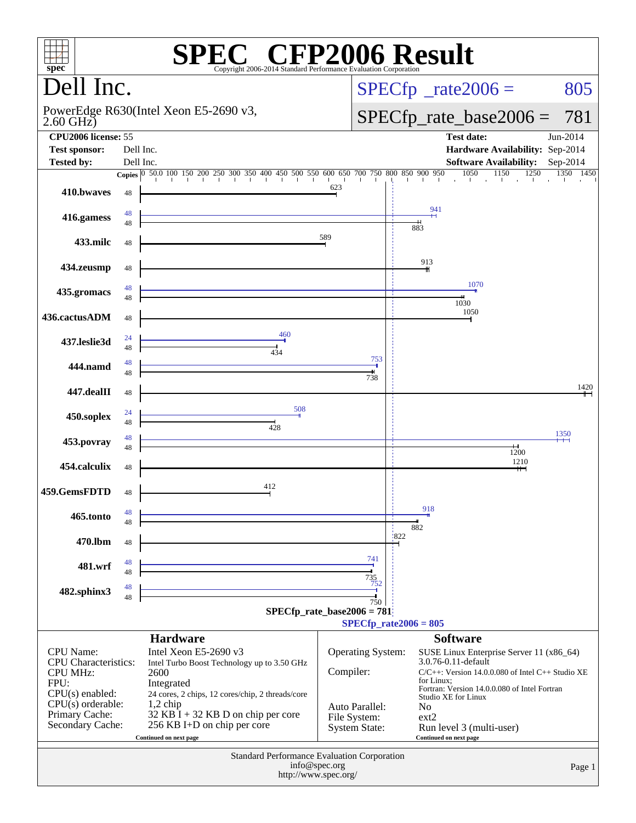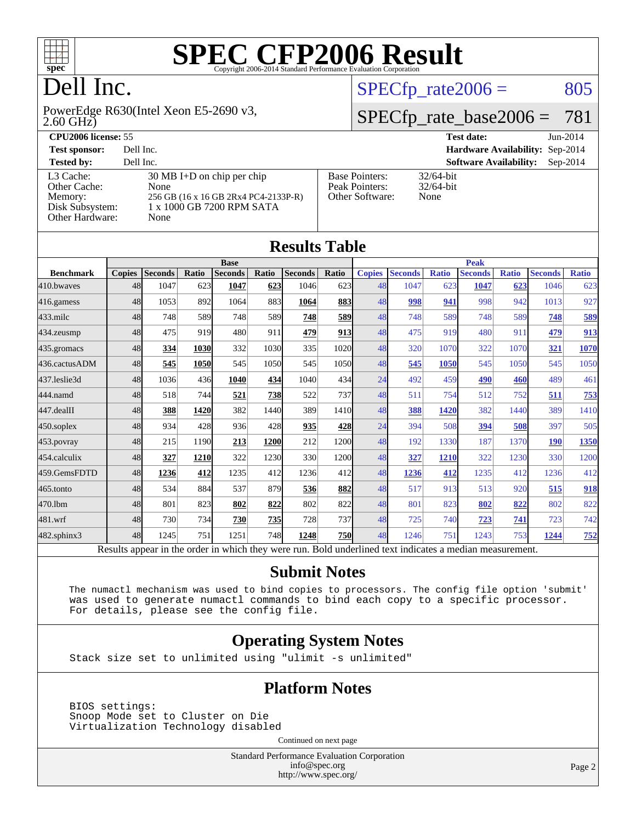

### Dell Inc.

2.60 GHz) PowerEdge R630(Intel Xeon E5-2690 v3,

 $SPECTp_rate2006 = 805$ 

#### [SPECfp\\_rate\\_base2006 =](http://www.spec.org/auto/cpu2006/Docs/result-fields.html#SPECfpratebase2006) 781

| <b>CPU2006 license: 55</b>                                                 |                                                                                                                                  |                                                            | <b>Test date:</b>                      | $Jun-2014$ |
|----------------------------------------------------------------------------|----------------------------------------------------------------------------------------------------------------------------------|------------------------------------------------------------|----------------------------------------|------------|
| <b>Test sponsor:</b>                                                       | Dell Inc.                                                                                                                        |                                                            | <b>Hardware Availability: Sep-2014</b> |            |
| <b>Tested by:</b>                                                          | Dell Inc.                                                                                                                        |                                                            | <b>Software Availability:</b>          | $Sep-2014$ |
| L3 Cache:<br>Other Cache:<br>Memory:<br>Disk Subsystem:<br>Other Hardware: | $30 \text{ MB I+D}$ on chip per chip<br><b>None</b><br>256 GB (16 x 16 GB 2Rx4 PC4-2133P-R)<br>1 x 1000 GB 7200 RPM SATA<br>None | <b>Base Pointers:</b><br>Peak Pointers:<br>Other Software: | $32/64$ -bit<br>$32/64$ -bit<br>None   |            |

|                  |               |                                                                                                          |       |                |             | <b>Results Table</b> |       |               |                |              |                |              |                |              |
|------------------|---------------|----------------------------------------------------------------------------------------------------------|-------|----------------|-------------|----------------------|-------|---------------|----------------|--------------|----------------|--------------|----------------|--------------|
|                  |               |                                                                                                          |       | <b>Base</b>    |             |                      |       |               |                |              | <b>Peak</b>    |              |                |              |
| <b>Benchmark</b> | <b>Copies</b> | <b>Seconds</b>                                                                                           | Ratio | <b>Seconds</b> | Ratio       | <b>Seconds</b>       | Ratio | <b>Copies</b> | <b>Seconds</b> | <b>Ratio</b> | <b>Seconds</b> | <b>Ratio</b> | <b>Seconds</b> | <b>Ratio</b> |
| 410.bwayes       | 48            | 1047                                                                                                     | 623   | 1047           | 623         | 1046                 | 623   | 48            | 1047           | 623          | 1047           | 623          | 1046           | 623          |
| 416.gamess       | 48            | 1053                                                                                                     | 892   | 1064           | 883         | 1064                 | 883   | 48            | 998            | 941          | 998            | 942          | 1013           | 927          |
| $433$ .milc      | 48            | 748                                                                                                      | 589   | 748            | 589         | 748                  | 589   | 48            | 748            | 589          | 748            | 589          | 748            | 589          |
| 434.zeusmp       | 48            | 475                                                                                                      | 919   | 480            | 911         | 479                  | 913   | 48            | 475            | 919          | 480            | 911          | 479            | 913          |
| 435.gromacs      | 48            | 334                                                                                                      | 1030  | 332            | 1030        | 335                  | 1020  | 48            | 320            | 1070         | 322            | 1070         | 321            | 1070         |
| 436.cactusADM    | 48            | 545                                                                                                      | 1050  | 545            | 1050l       | 545                  | 1050  | 48            | 545            | 1050         | 545            | 1050         | 545            | 1050         |
| 437.leslie3d     | 48            | 1036                                                                                                     | 436   | 1040           | 434         | 1040                 | 434   | 24            | 492            | 459          | 490            | 460          | 489            | 461          |
| 444.namd         | 48            | 518                                                                                                      | 744   | 521            | 738         | 522                  | 737   | 48            | 511            | 754          | 512            | 752          | 511            | <u>753</u>   |
| 447.dealII       | 48            | 388                                                                                                      | 1420  | 382            | 1440        | 389                  | 1410  | 48            | 388            | 1420         | 382            | 1440         | 389            | 1410         |
| $450$ .soplex    | 48            | 934                                                                                                      | 428   | 936            | 428         | 935                  | 428   | 24            | 394            | 508          | 394            | 508          | 397            | 505          |
| 453.povray       | 48            | 215                                                                                                      | 1190  | 213            | <b>1200</b> | 212                  | 1200  | 48            | 192            | 1330         | 187            | 1370         | <b>190</b>     | 1350         |
| 454.calculix     | 48            | 327                                                                                                      | 1210  | 322            | 1230        | 330                  | 1200  | 48            | 327            | 1210         | 322            | 1230         | 330            | 1200         |
| 459.GemsFDTD     | 48            | 1236                                                                                                     | 412   | 1235           | 412         | 1236                 | 412   | 48            | 1236           | 412          | 1235           | 412          | 1236           | 412          |
| $465$ .tonto     | 48            | 534                                                                                                      | 884   | 537            | 879         | 536                  | 882   | 48            | 517            | 913          | 513            | 920          | 515            | 918          |
| 470.1bm          | 48            | 801                                                                                                      | 823   | 802            | 822         | 802                  | 822   | 48            | 801            | 823          | 802            | 822          | 802            | 822          |
| 481.wrf          | 48            | 730                                                                                                      | 734   | 730            | 735         | 728                  | 737   | 48            | 725            | 740          | 723            | 741          | 723            | 742          |
| 482.sphinx3      | 48            | 1245                                                                                                     | 751   | 1251           | <b>748</b>  | 1248                 | 750   | 48            | 1246           | 751          | 1243           | 753          | 1244           | <u>752</u>   |
|                  |               | Results appear in the order in which they were run. Bold underlined text indicates a median measurement. |       |                |             |                      |       |               |                |              |                |              |                |              |

#### **[Submit Notes](http://www.spec.org/auto/cpu2006/Docs/result-fields.html#SubmitNotes)**

 The numactl mechanism was used to bind copies to processors. The config file option 'submit' was used to generate numactl commands to bind each copy to a specific processor. For details, please see the config file.

#### **[Operating System Notes](http://www.spec.org/auto/cpu2006/Docs/result-fields.html#OperatingSystemNotes)**

Stack size set to unlimited using "ulimit -s unlimited"

#### **[Platform Notes](http://www.spec.org/auto/cpu2006/Docs/result-fields.html#PlatformNotes)**

 BIOS settings: Snoop Mode set to Cluster on Die Virtualization Technology disabled

Continued on next page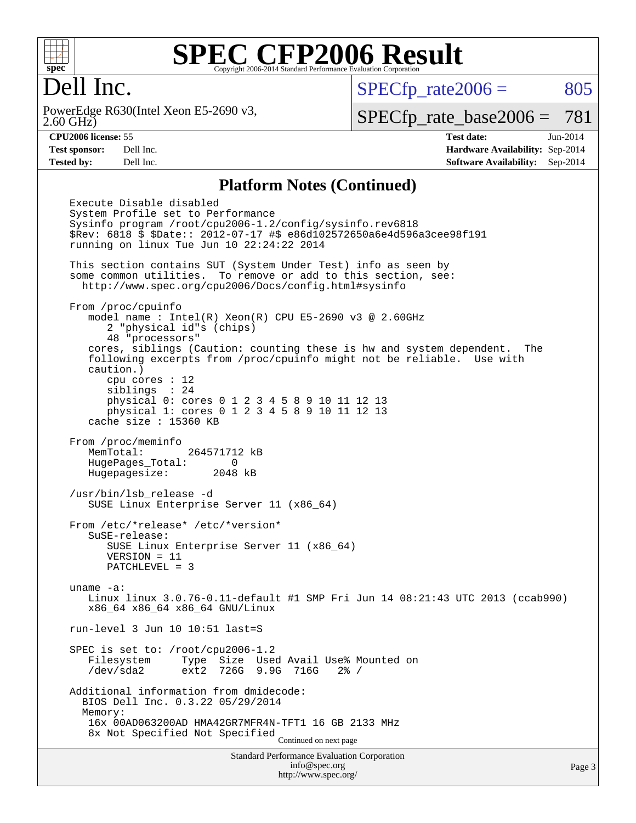

#### Dell Inc.

2.60 GHz) PowerEdge R630(Intel Xeon E5-2690 v3,  $SPECTp_rate2006 = 805$ 

[SPECfp\\_rate\\_base2006 =](http://www.spec.org/auto/cpu2006/Docs/result-fields.html#SPECfpratebase2006) 781

**[CPU2006 license:](http://www.spec.org/auto/cpu2006/Docs/result-fields.html#CPU2006license)** 55 **[Test date:](http://www.spec.org/auto/cpu2006/Docs/result-fields.html#Testdate)** Jun-2014 **[Test sponsor:](http://www.spec.org/auto/cpu2006/Docs/result-fields.html#Testsponsor)** Dell Inc. **[Hardware Availability:](http://www.spec.org/auto/cpu2006/Docs/result-fields.html#HardwareAvailability)** Sep-2014 **[Tested by:](http://www.spec.org/auto/cpu2006/Docs/result-fields.html#Testedby)** Dell Inc. **[Software Availability:](http://www.spec.org/auto/cpu2006/Docs/result-fields.html#SoftwareAvailability)** Sep-2014

#### **[Platform Notes \(Continued\)](http://www.spec.org/auto/cpu2006/Docs/result-fields.html#PlatformNotes)**

Standard Performance Evaluation Corporation [info@spec.org](mailto:info@spec.org) Execute Disable disabled System Profile set to Performance Sysinfo program /root/cpu2006-1.2/config/sysinfo.rev6818 \$Rev: 6818 \$ \$Date:: 2012-07-17 #\$ e86d102572650a6e4d596a3cee98f191 running on linux Tue Jun 10 22:24:22 2014 This section contains SUT (System Under Test) info as seen by some common utilities. To remove or add to this section, see: <http://www.spec.org/cpu2006/Docs/config.html#sysinfo> From /proc/cpuinfo model name : Intel(R) Xeon(R) CPU E5-2690 v3 @ 2.60GHz 2 "physical id"s (chips) 48 "processors" cores, siblings (Caution: counting these is hw and system dependent. The following excerpts from /proc/cpuinfo might not be reliable. Use with caution.) cpu cores : 12 siblings : 24 physical 0: cores 0 1 2 3 4 5 8 9 10 11 12 13 physical 1: cores 0 1 2 3 4 5 8 9 10 11 12 13 cache size : 15360 KB From /proc/meminfo MemTotal: 264571712 kB HugePages\_Total: 0 Hugepagesize: 2048 kB /usr/bin/lsb\_release -d SUSE Linux Enterprise Server 11 (x86\_64) From /etc/\*release\* /etc/\*version\* SuSE-release: SUSE Linux Enterprise Server 11 (x86\_64) VERSION = 11 PATCHLEVEL = 3 uname -a: Linux linux 3.0.76-0.11-default #1 SMP Fri Jun 14 08:21:43 UTC 2013 (ccab990) x86\_64 x86\_64 x86\_64 GNU/Linux run-level 3 Jun 10 10:51 last=S SPEC is set to: /root/cpu2006-1.2 Filesystem Type Size Used Avail Use% Mounted on /dev/sda2 ext2 726G 9.9G 716G 2% / Additional information from dmidecode: BIOS Dell Inc. 0.3.22 05/29/2014 Memory: 16x 00AD063200AD HMA42GR7MFR4N-TFT1 16 GB 2133 MHz 8x Not Specified Not Specified Continued on next page

<http://www.spec.org/>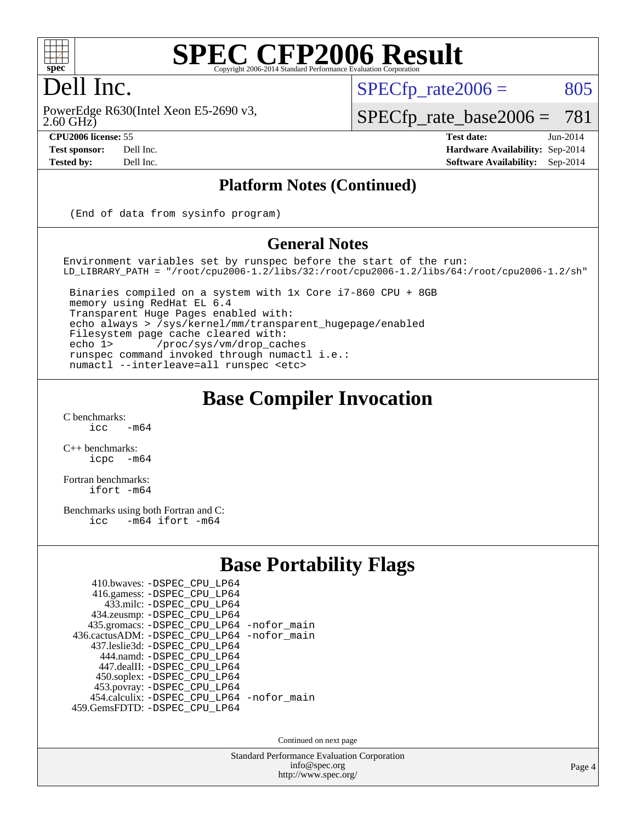

### Dell Inc.

2.60 GHz) PowerEdge R630(Intel Xeon E5-2690 v3,

**[Tested by:](http://www.spec.org/auto/cpu2006/Docs/result-fields.html#Testedby)** Dell Inc. **[Software Availability:](http://www.spec.org/auto/cpu2006/Docs/result-fields.html#SoftwareAvailability)** Sep-2014

 $SPECTp\_rate2006 = 805$ 

[SPECfp\\_rate\\_base2006 =](http://www.spec.org/auto/cpu2006/Docs/result-fields.html#SPECfpratebase2006) 781

**[CPU2006 license:](http://www.spec.org/auto/cpu2006/Docs/result-fields.html#CPU2006license)** 55 **[Test date:](http://www.spec.org/auto/cpu2006/Docs/result-fields.html#Testdate)** Jun-2014 **[Test sponsor:](http://www.spec.org/auto/cpu2006/Docs/result-fields.html#Testsponsor)** Dell Inc. **[Hardware Availability:](http://www.spec.org/auto/cpu2006/Docs/result-fields.html#HardwareAvailability)** Sep-2014

**[Platform Notes \(Continued\)](http://www.spec.org/auto/cpu2006/Docs/result-fields.html#PlatformNotes)**

(End of data from sysinfo program)

#### **[General Notes](http://www.spec.org/auto/cpu2006/Docs/result-fields.html#GeneralNotes)**

Environment variables set by runspec before the start of the run: LD\_LIBRARY\_PATH = "/root/cpu2006-1.2/libs/32:/root/cpu2006-1.2/libs/64:/root/cpu2006-1.2/sh"

 Binaries compiled on a system with 1x Core i7-860 CPU + 8GB memory using RedHat EL 6.4 Transparent Huge Pages enabled with: echo always > /sys/kernel/mm/transparent\_hugepage/enabled Filesystem page cache cleared with: echo 1> /proc/sys/vm/drop\_caches runspec command invoked through numactl i.e.: numactl --interleave=all runspec <etc>

#### **[Base Compiler Invocation](http://www.spec.org/auto/cpu2006/Docs/result-fields.html#BaseCompilerInvocation)**

 $C$  benchmarks:<br>icc  $-m64$ 

[C++ benchmarks:](http://www.spec.org/auto/cpu2006/Docs/result-fields.html#CXXbenchmarks) [icpc -m64](http://www.spec.org/cpu2006/results/res2014q3/cpu2006-20140909-31317.flags.html#user_CXXbase_intel_icpc_64bit_bedb90c1146cab66620883ef4f41a67e)

[Fortran benchmarks](http://www.spec.org/auto/cpu2006/Docs/result-fields.html#Fortranbenchmarks): [ifort -m64](http://www.spec.org/cpu2006/results/res2014q3/cpu2006-20140909-31317.flags.html#user_FCbase_intel_ifort_64bit_ee9d0fb25645d0210d97eb0527dcc06e)

[Benchmarks using both Fortran and C](http://www.spec.org/auto/cpu2006/Docs/result-fields.html#BenchmarksusingbothFortranandC): [icc -m64](http://www.spec.org/cpu2006/results/res2014q3/cpu2006-20140909-31317.flags.html#user_CC_FCbase_intel_icc_64bit_0b7121f5ab7cfabee23d88897260401c) [ifort -m64](http://www.spec.org/cpu2006/results/res2014q3/cpu2006-20140909-31317.flags.html#user_CC_FCbase_intel_ifort_64bit_ee9d0fb25645d0210d97eb0527dcc06e)

#### **[Base Portability Flags](http://www.spec.org/auto/cpu2006/Docs/result-fields.html#BasePortabilityFlags)**

| 410.bwaves: -DSPEC CPU LP64                |  |
|--------------------------------------------|--|
| 416.gamess: - DSPEC_CPU_LP64               |  |
| 433.milc: -DSPEC CPU LP64                  |  |
| 434.zeusmp: -DSPEC_CPU_LP64                |  |
| 435.gromacs: -DSPEC_CPU_LP64 -nofor_main   |  |
| 436.cactusADM: -DSPEC CPU LP64 -nofor main |  |
| 437.leslie3d: -DSPEC CPU LP64              |  |
| 444.namd: - DSPEC CPU LP64                 |  |
| 447.dealII: -DSPEC_CPU LP64                |  |
| 450.soplex: -DSPEC_CPU_LP64                |  |
| 453.povray: -DSPEC_CPU_LP64                |  |
| 454.calculix: - DSPEC_CPU_LP64 -nofor_main |  |
| 459.GemsFDTD: - DSPEC_CPU_LP64             |  |
|                                            |  |

Continued on next page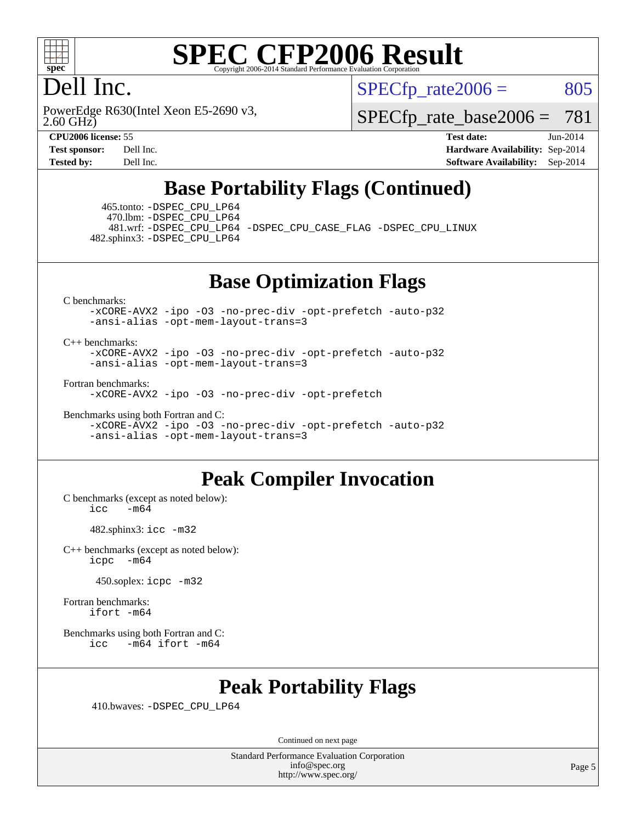

### Dell Inc.

2.60 GHz) PowerEdge R630(Intel Xeon E5-2690 v3,  $SPECTp\_rate2006 = 805$ 

[SPECfp\\_rate\\_base2006 =](http://www.spec.org/auto/cpu2006/Docs/result-fields.html#SPECfpratebase2006) 781

**[CPU2006 license:](http://www.spec.org/auto/cpu2006/Docs/result-fields.html#CPU2006license)** 55 **[Test date:](http://www.spec.org/auto/cpu2006/Docs/result-fields.html#Testdate)** Jun-2014 **[Test sponsor:](http://www.spec.org/auto/cpu2006/Docs/result-fields.html#Testsponsor)** Dell Inc. **[Hardware Availability:](http://www.spec.org/auto/cpu2006/Docs/result-fields.html#HardwareAvailability)** Sep-2014 **[Tested by:](http://www.spec.org/auto/cpu2006/Docs/result-fields.html#Testedby)** Dell Inc. **[Software Availability:](http://www.spec.org/auto/cpu2006/Docs/result-fields.html#SoftwareAvailability)** Sep-2014

### **[Base Portability Flags \(Continued\)](http://www.spec.org/auto/cpu2006/Docs/result-fields.html#BasePortabilityFlags)**

 465.tonto: [-DSPEC\\_CPU\\_LP64](http://www.spec.org/cpu2006/results/res2014q3/cpu2006-20140909-31317.flags.html#suite_basePORTABILITY465_tonto_DSPEC_CPU_LP64) 470.lbm: [-DSPEC\\_CPU\\_LP64](http://www.spec.org/cpu2006/results/res2014q3/cpu2006-20140909-31317.flags.html#suite_basePORTABILITY470_lbm_DSPEC_CPU_LP64)

 481.wrf: [-DSPEC\\_CPU\\_LP64](http://www.spec.org/cpu2006/results/res2014q3/cpu2006-20140909-31317.flags.html#suite_basePORTABILITY481_wrf_DSPEC_CPU_LP64) [-DSPEC\\_CPU\\_CASE\\_FLAG](http://www.spec.org/cpu2006/results/res2014q3/cpu2006-20140909-31317.flags.html#b481.wrf_baseCPORTABILITY_DSPEC_CPU_CASE_FLAG) [-DSPEC\\_CPU\\_LINUX](http://www.spec.org/cpu2006/results/res2014q3/cpu2006-20140909-31317.flags.html#b481.wrf_baseCPORTABILITY_DSPEC_CPU_LINUX) 482.sphinx3: [-DSPEC\\_CPU\\_LP64](http://www.spec.org/cpu2006/results/res2014q3/cpu2006-20140909-31317.flags.html#suite_basePORTABILITY482_sphinx3_DSPEC_CPU_LP64)

**[Base Optimization Flags](http://www.spec.org/auto/cpu2006/Docs/result-fields.html#BaseOptimizationFlags)**

[C benchmarks](http://www.spec.org/auto/cpu2006/Docs/result-fields.html#Cbenchmarks):

[-xCORE-AVX2](http://www.spec.org/cpu2006/results/res2014q3/cpu2006-20140909-31317.flags.html#user_CCbase_f-xAVX2_5f5fc0cbe2c9f62c816d3e45806c70d7) [-ipo](http://www.spec.org/cpu2006/results/res2014q3/cpu2006-20140909-31317.flags.html#user_CCbase_f-ipo) [-O3](http://www.spec.org/cpu2006/results/res2014q3/cpu2006-20140909-31317.flags.html#user_CCbase_f-O3) [-no-prec-div](http://www.spec.org/cpu2006/results/res2014q3/cpu2006-20140909-31317.flags.html#user_CCbase_f-no-prec-div) [-opt-prefetch](http://www.spec.org/cpu2006/results/res2014q3/cpu2006-20140909-31317.flags.html#user_CCbase_f-opt-prefetch) [-auto-p32](http://www.spec.org/cpu2006/results/res2014q3/cpu2006-20140909-31317.flags.html#user_CCbase_f-auto-p32) [-ansi-alias](http://www.spec.org/cpu2006/results/res2014q3/cpu2006-20140909-31317.flags.html#user_CCbase_f-ansi-alias) [-opt-mem-layout-trans=3](http://www.spec.org/cpu2006/results/res2014q3/cpu2006-20140909-31317.flags.html#user_CCbase_f-opt-mem-layout-trans_a7b82ad4bd7abf52556d4961a2ae94d5)

#### [C++ benchmarks:](http://www.spec.org/auto/cpu2006/Docs/result-fields.html#CXXbenchmarks)

[-xCORE-AVX2](http://www.spec.org/cpu2006/results/res2014q3/cpu2006-20140909-31317.flags.html#user_CXXbase_f-xAVX2_5f5fc0cbe2c9f62c816d3e45806c70d7) [-ipo](http://www.spec.org/cpu2006/results/res2014q3/cpu2006-20140909-31317.flags.html#user_CXXbase_f-ipo) [-O3](http://www.spec.org/cpu2006/results/res2014q3/cpu2006-20140909-31317.flags.html#user_CXXbase_f-O3) [-no-prec-div](http://www.spec.org/cpu2006/results/res2014q3/cpu2006-20140909-31317.flags.html#user_CXXbase_f-no-prec-div) [-opt-prefetch](http://www.spec.org/cpu2006/results/res2014q3/cpu2006-20140909-31317.flags.html#user_CXXbase_f-opt-prefetch) [-auto-p32](http://www.spec.org/cpu2006/results/res2014q3/cpu2006-20140909-31317.flags.html#user_CXXbase_f-auto-p32) [-ansi-alias](http://www.spec.org/cpu2006/results/res2014q3/cpu2006-20140909-31317.flags.html#user_CXXbase_f-ansi-alias) [-opt-mem-layout-trans=3](http://www.spec.org/cpu2006/results/res2014q3/cpu2006-20140909-31317.flags.html#user_CXXbase_f-opt-mem-layout-trans_a7b82ad4bd7abf52556d4961a2ae94d5)

[Fortran benchmarks](http://www.spec.org/auto/cpu2006/Docs/result-fields.html#Fortranbenchmarks):

[-xCORE-AVX2](http://www.spec.org/cpu2006/results/res2014q3/cpu2006-20140909-31317.flags.html#user_FCbase_f-xAVX2_5f5fc0cbe2c9f62c816d3e45806c70d7) [-ipo](http://www.spec.org/cpu2006/results/res2014q3/cpu2006-20140909-31317.flags.html#user_FCbase_f-ipo) [-O3](http://www.spec.org/cpu2006/results/res2014q3/cpu2006-20140909-31317.flags.html#user_FCbase_f-O3) [-no-prec-div](http://www.spec.org/cpu2006/results/res2014q3/cpu2006-20140909-31317.flags.html#user_FCbase_f-no-prec-div) [-opt-prefetch](http://www.spec.org/cpu2006/results/res2014q3/cpu2006-20140909-31317.flags.html#user_FCbase_f-opt-prefetch)

[Benchmarks using both Fortran and C](http://www.spec.org/auto/cpu2006/Docs/result-fields.html#BenchmarksusingbothFortranandC):

[-xCORE-AVX2](http://www.spec.org/cpu2006/results/res2014q3/cpu2006-20140909-31317.flags.html#user_CC_FCbase_f-xAVX2_5f5fc0cbe2c9f62c816d3e45806c70d7) [-ipo](http://www.spec.org/cpu2006/results/res2014q3/cpu2006-20140909-31317.flags.html#user_CC_FCbase_f-ipo) [-O3](http://www.spec.org/cpu2006/results/res2014q3/cpu2006-20140909-31317.flags.html#user_CC_FCbase_f-O3) [-no-prec-div](http://www.spec.org/cpu2006/results/res2014q3/cpu2006-20140909-31317.flags.html#user_CC_FCbase_f-no-prec-div) [-opt-prefetch](http://www.spec.org/cpu2006/results/res2014q3/cpu2006-20140909-31317.flags.html#user_CC_FCbase_f-opt-prefetch) [-auto-p32](http://www.spec.org/cpu2006/results/res2014q3/cpu2006-20140909-31317.flags.html#user_CC_FCbase_f-auto-p32) [-ansi-alias](http://www.spec.org/cpu2006/results/res2014q3/cpu2006-20140909-31317.flags.html#user_CC_FCbase_f-ansi-alias) [-opt-mem-layout-trans=3](http://www.spec.org/cpu2006/results/res2014q3/cpu2006-20140909-31317.flags.html#user_CC_FCbase_f-opt-mem-layout-trans_a7b82ad4bd7abf52556d4961a2ae94d5)

#### **[Peak Compiler Invocation](http://www.spec.org/auto/cpu2006/Docs/result-fields.html#PeakCompilerInvocation)**

[C benchmarks \(except as noted below\)](http://www.spec.org/auto/cpu2006/Docs/result-fields.html#Cbenchmarksexceptasnotedbelow):  $icc$   $-m64$ 

482.sphinx3: [icc -m32](http://www.spec.org/cpu2006/results/res2014q3/cpu2006-20140909-31317.flags.html#user_peakCCLD482_sphinx3_intel_icc_a6a621f8d50482236b970c6ac5f55f93)

[C++ benchmarks \(except as noted below\):](http://www.spec.org/auto/cpu2006/Docs/result-fields.html#CXXbenchmarksexceptasnotedbelow) [icpc -m64](http://www.spec.org/cpu2006/results/res2014q3/cpu2006-20140909-31317.flags.html#user_CXXpeak_intel_icpc_64bit_bedb90c1146cab66620883ef4f41a67e)

450.soplex: [icpc -m32](http://www.spec.org/cpu2006/results/res2014q3/cpu2006-20140909-31317.flags.html#user_peakCXXLD450_soplex_intel_icpc_4e5a5ef1a53fd332b3c49e69c3330699)

[Fortran benchmarks](http://www.spec.org/auto/cpu2006/Docs/result-fields.html#Fortranbenchmarks): [ifort -m64](http://www.spec.org/cpu2006/results/res2014q3/cpu2006-20140909-31317.flags.html#user_FCpeak_intel_ifort_64bit_ee9d0fb25645d0210d97eb0527dcc06e)

[Benchmarks using both Fortran and C](http://www.spec.org/auto/cpu2006/Docs/result-fields.html#BenchmarksusingbothFortranandC): [icc -m64](http://www.spec.org/cpu2006/results/res2014q3/cpu2006-20140909-31317.flags.html#user_CC_FCpeak_intel_icc_64bit_0b7121f5ab7cfabee23d88897260401c) [ifort -m64](http://www.spec.org/cpu2006/results/res2014q3/cpu2006-20140909-31317.flags.html#user_CC_FCpeak_intel_ifort_64bit_ee9d0fb25645d0210d97eb0527dcc06e)

#### **[Peak Portability Flags](http://www.spec.org/auto/cpu2006/Docs/result-fields.html#PeakPortabilityFlags)**

410.bwaves: [-DSPEC\\_CPU\\_LP64](http://www.spec.org/cpu2006/results/res2014q3/cpu2006-20140909-31317.flags.html#suite_peakPORTABILITY410_bwaves_DSPEC_CPU_LP64)

Continued on next page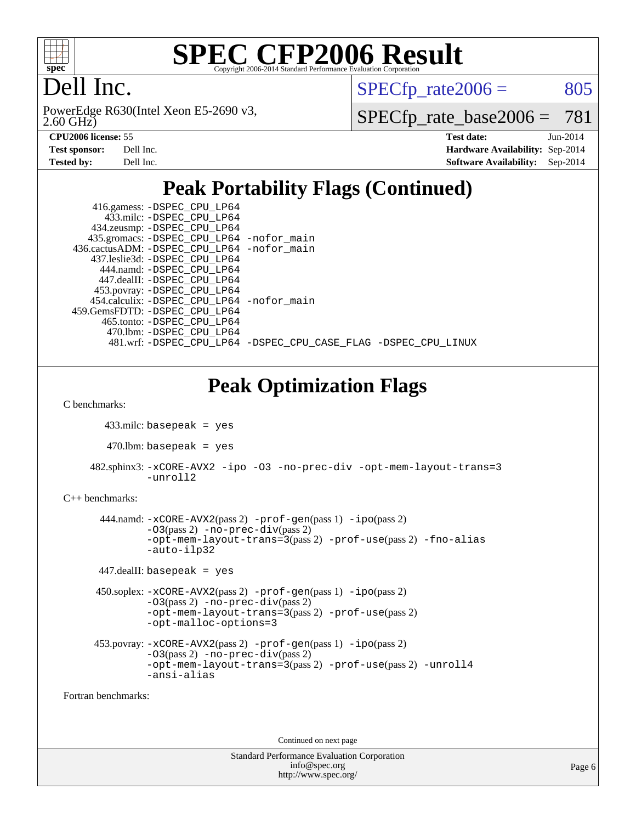

## Dell Inc.

2.60 GHz) PowerEdge R630(Intel Xeon E5-2690 v3,  $SPECTp_rate2006 = 805$ 

[SPECfp\\_rate\\_base2006 =](http://www.spec.org/auto/cpu2006/Docs/result-fields.html#SPECfpratebase2006) 781

| <b>Test sponsor:</b> | Dell Inc. |
|----------------------|-----------|
| <b>Tested by:</b>    | Dell Inc. |

**[CPU2006 license:](http://www.spec.org/auto/cpu2006/Docs/result-fields.html#CPU2006license)** 55 **[Test date:](http://www.spec.org/auto/cpu2006/Docs/result-fields.html#Testdate)** Jun-2014 **[Hardware Availability:](http://www.spec.org/auto/cpu2006/Docs/result-fields.html#HardwareAvailability)** Sep-2014 **[Software Availability:](http://www.spec.org/auto/cpu2006/Docs/result-fields.html#SoftwareAvailability)** Sep-2014

### **[Peak Portability Flags \(Continued\)](http://www.spec.org/auto/cpu2006/Docs/result-fields.html#PeakPortabilityFlags)**

| 416.gamess: -DSPEC_CPU_LP64<br>433.milc: -DSPEC CPU LP64<br>434.zeusmp: -DSPEC_CPU_LP64<br>435.gromacs: -DSPEC_CPU_LP64 -nofor_main<br>436.cactusADM: -DSPEC_CPU_LP64 -nofor_main<br>437.leslie3d: -DSPEC_CPU_LP64<br>444.namd: -DSPEC_CPU_LP64<br>447.dealII: -DSPEC_CPU_LP64<br>453.povray: -DSPEC_CPU_LP64<br>454.calculix: -DSPEC_CPU_LP64 -nofor_main<br>459.GemsFDTD: - DSPEC CPU LP64<br>465.tonto: -DSPEC CPU LP64<br>470.1bm: -DSPEC_CPU_LP64<br>481.wrf: -DSPEC_CPU_LP64 -DSPEC_CPU_CASE_FLAG -DSPEC_CPU_LINUX |  |
|--------------------------------------------------------------------------------------------------------------------------------------------------------------------------------------------------------------------------------------------------------------------------------------------------------------------------------------------------------------------------------------------------------------------------------------------------------------------------------------------------------------------------|--|
|                                                                                                                                                                                                                                                                                                                                                                                                                                                                                                                          |  |
| <b>Peak Optimization Flags</b><br>C benchmarks:                                                                                                                                                                                                                                                                                                                                                                                                                                                                          |  |
| $433$ .milc: basepeak = yes                                                                                                                                                                                                                                                                                                                                                                                                                                                                                              |  |
| $470$ .lbm: basepeak = yes                                                                                                                                                                                                                                                                                                                                                                                                                                                                                               |  |
|                                                                                                                                                                                                                                                                                                                                                                                                                                                                                                                          |  |
| 482.sphinx3: -xCORE-AVX2 -ipo -03 -no-prec-div -opt-mem-layout-trans=3<br>-unroll2                                                                                                                                                                                                                                                                                                                                                                                                                                       |  |
| $C_{++}$ benchmarks:                                                                                                                                                                                                                                                                                                                                                                                                                                                                                                     |  |
| 444.namd: -xCORE-AVX2(pass 2) -prof-gen(pass 1) -ipo(pass 2)<br>$-03(pass 2)$ -no-prec-div(pass 2)<br>-opt-mem-layout-trans=3(pass 2) -prof-use(pass 2) -fno-alias<br>-auto-ilp32                                                                                                                                                                                                                                                                                                                                        |  |
| $447$ .dealII: basepeak = yes                                                                                                                                                                                                                                                                                                                                                                                                                                                                                            |  |
| $450$ .soplex: $-x \text{CORE-AVX2}(pass 2)$ -prof-gen(pass 1) -ipo(pass 2)<br>$-03(pass 2)$ -no-prec-div(pass 2)<br>-opt-mem-layout-trans=3(pass 2) -prof-use(pass 2)                                                                                                                                                                                                                                                                                                                                                   |  |

```
-opt-malloc-options=3
```

```
 453.povray: -xCORE-AVX2(pass 2) -prof-gen(pass 1) -ipo(pass 2)
-O3(pass 2) -no-prec-div(pass 2)
 -opt-mem-layout-trans=3(pass 2) -prof-use(pass 2) -unroll4
 -ansi-alias
```
[Fortran benchmarks](http://www.spec.org/auto/cpu2006/Docs/result-fields.html#Fortranbenchmarks):

Continued on next page

| <b>Standard Performance Evaluation Corporation</b> |
|----------------------------------------------------|
| info@spec.org                                      |
| http://www.spec.org/                               |